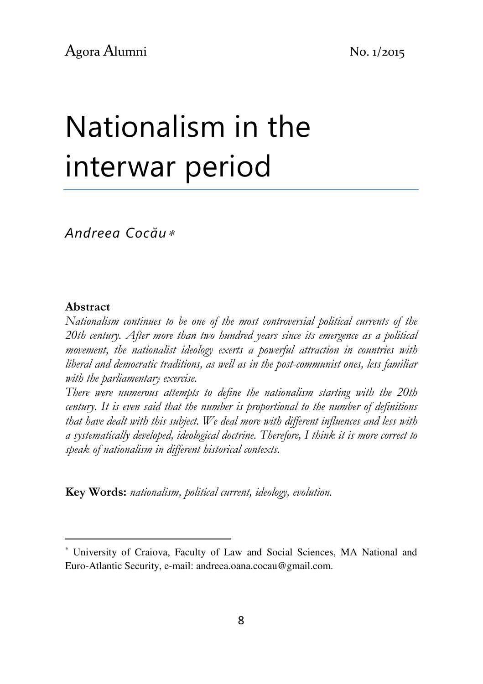# Nationalism in the interwar period

Andreea Cocău<sup>∗</sup>

#### Abstract

l

Nationalism continues to be one of the most controversial political currents of the 20th century. After more than two hundred years since its emergence as a political movement, the nationalist ideology exerts a powerful attraction in countries with liberal and democratic traditions, as well as in the post-communist ones, less familiar with the parliamentary exercise.

There were numerous attempts to define the nationalism starting with the 20th century. It is even said that the number is proportional to the number of definitions that have dealt with this subject. We deal more with different influences and less with a systematically developed, ideological doctrine. Therefore, I think it is more correct to speak of nationalism in different historical contexts.

Key Words: nationalism, political current, ideology, evolution.

<sup>∗</sup> University of Craiova, Faculty of Law and Social Sciences, MA National and Euro-Atlantic Security, e-mail: andreea.oana.cocau@gmail.com.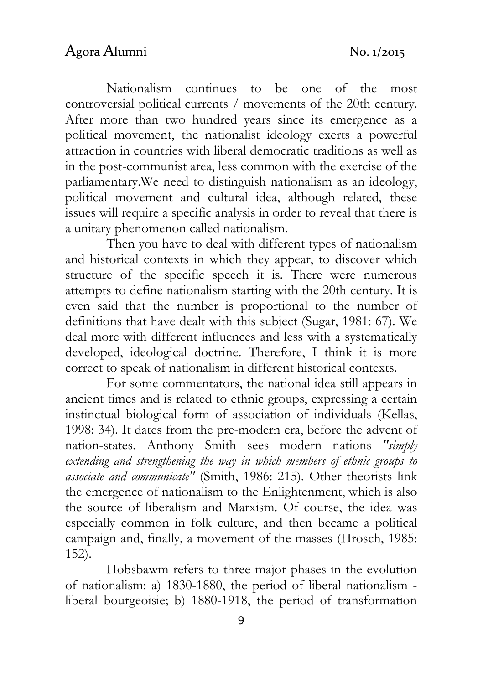Nationalism continues to be one of the most controversial political currents / movements of the 20th century. After more than two hundred years since its emergence as a political movement, the nationalist ideology exerts a powerful attraction in countries with liberal democratic traditions as well as in the post-communist area, less common with the exercise of the parliamentary.We need to distinguish nationalism as an ideology, political movement and cultural idea, although related, these issues will require a specific analysis in order to reveal that there is a unitary phenomenon called nationalism.

Then you have to deal with different types of nationalism and historical contexts in which they appear, to discover which structure of the specific speech it is. There were numerous attempts to define nationalism starting with the 20th century. It is even said that the number is proportional to the number of definitions that have dealt with this subject (Sugar, 1981: 67). We deal more with different influences and less with a systematically developed, ideological doctrine. Therefore, I think it is more correct to speak of nationalism in different historical contexts.

For some commentators, the national idea still appears in ancient times and is related to ethnic groups, expressing a certain instinctual biological form of association of individuals (Kellas, 1998: 34). It dates from the pre-modern era, before the advent of nation-states. Anthony Smith sees modern nations "simply extending and strengthening the way in which members of ethnic groups to associate and communicate" (Smith, 1986: 215). Other theorists link the emergence of nationalism to the Enlightenment, which is also the source of liberalism and Marxism. Of course, the idea was especially common in folk culture, and then became a political campaign and, finally, a movement of the masses (Hrosch, 1985: 152).

Hobsbawm refers to three major phases in the evolution of nationalism: a) 1830-1880, the period of liberal nationalism liberal bourgeoisie; b) 1880-1918, the period of transformation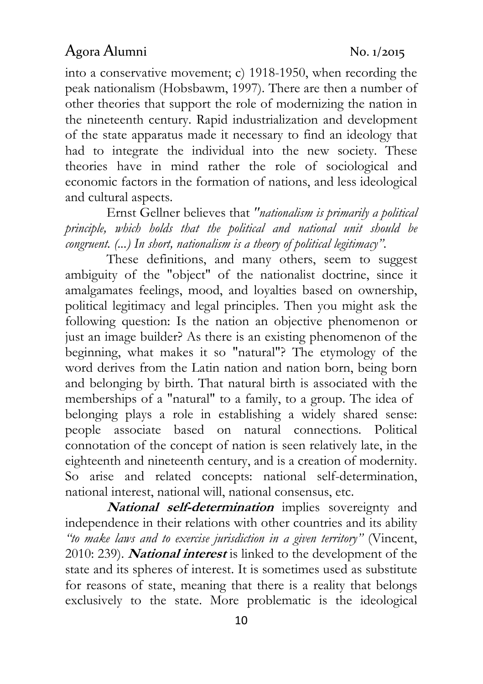into a conservative movement; c) 1918-1950, when recording the peak nationalism (Hobsbawm, 1997). There are then a number of other theories that support the role of modernizing the nation in the nineteenth century. Rapid industrialization and development of the state apparatus made it necessary to find an ideology that had to integrate the individual into the new society. These theories have in mind rather the role of sociological and economic factors in the formation of nations, and less ideological and cultural aspects.

Ernst Gellner believes that "nationalism is primarily a political principle, which holds that the political and national unit should be congruent. (...) In short, nationalism is a theory of political legitimacy".

These definitions, and many others, seem to suggest ambiguity of the "object" of the nationalist doctrine, since it amalgamates feelings, mood, and loyalties based on ownership, political legitimacy and legal principles. Then you might ask the following question: Is the nation an objective phenomenon or just an image builder? As there is an existing phenomenon of the beginning, what makes it so "natural"? The etymology of the word derives from the Latin nation and nation born, being born and belonging by birth. That natural birth is associated with the memberships of a "natural" to a family, to a group. The idea of belonging plays a role in establishing a widely shared sense: people associate based on natural connections. Political connotation of the concept of nation is seen relatively late, in the eighteenth and nineteenth century, and is a creation of modernity. So arise and related concepts: national self-determination, national interest, national will, national consensus, etc.

National self-determination implies sovereignty and independence in their relations with other countries and its ability "to make laws and to exercise jurisdiction in a given territory" (Vincent, 2010: 239). *National interest* is linked to the development of the state and its spheres of interest. It is sometimes used as substitute for reasons of state, meaning that there is a reality that belongs exclusively to the state. More problematic is the ideological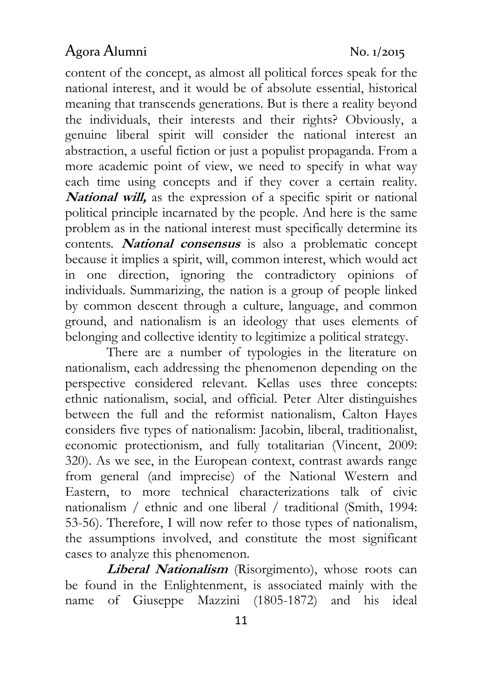content of the concept, as almost all political forces speak for the national interest, and it would be of absolute essential, historical meaning that transcends generations. But is there a reality beyond the individuals, their interests and their rights? Obviously, a genuine liberal spirit will consider the national interest an abstraction, a useful fiction or just a populist propaganda. From a more academic point of view, we need to specify in what way each time using concepts and if they cover a certain reality. National will, as the expression of a specific spirit or national political principle incarnated by the people. And here is the same problem as in the national interest must specifically determine its contents. *National consensus* is also a problematic concept because it implies a spirit, will, common interest, which would act in one direction, ignoring the contradictory opinions of individuals. Summarizing, the nation is a group of people linked by common descent through a culture, language, and common ground, and nationalism is an ideology that uses elements of belonging and collective identity to legitimize a political strategy.

There are a number of typologies in the literature on nationalism, each addressing the phenomenon depending on the perspective considered relevant. Kellas uses three concepts: ethnic nationalism, social, and official. Peter Alter distinguishes between the full and the reformist nationalism, Calton Hayes considers five types of nationalism: Jacobin, liberal, traditionalist, economic protectionism, and fully totalitarian (Vincent, 2009: 320). As we see, in the European context, contrast awards range from general (and imprecise) of the National Western and Eastern, to more technical characterizations talk of civic nationalism / ethnic and one liberal / traditional (Smith, 1994: 53-56). Therefore, I will now refer to those types of nationalism, the assumptions involved, and constitute the most significant cases to analyze this phenomenon.

Liberal Nationalism (Risorgimento), whose roots can be found in the Enlightenment, is associated mainly with the name of Giuseppe Mazzini (1805-1872) and his ideal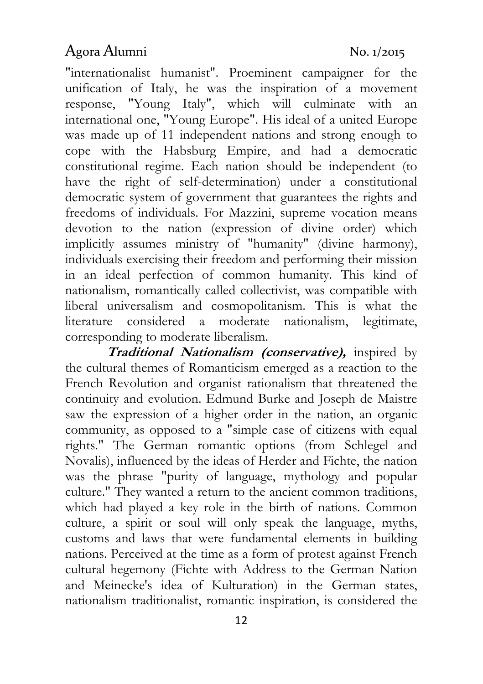"internationalist humanist". Proeminent campaigner for the unification of Italy, he was the inspiration of a movement response, "Young Italy", which will culminate with an international one, "Young Europe". His ideal of a united Europe was made up of 11 independent nations and strong enough to cope with the Habsburg Empire, and had a democratic constitutional regime. Each nation should be independent (to have the right of self-determination) under a constitutional democratic system of government that guarantees the rights and freedoms of individuals. For Mazzini, supreme vocation means devotion to the nation (expression of divine order) which implicitly assumes ministry of "humanity" (divine harmony), individuals exercising their freedom and performing their mission in an ideal perfection of common humanity. This kind of nationalism, romantically called collectivist, was compatible with liberal universalism and cosmopolitanism. This is what the literature considered a moderate nationalism, legitimate, corresponding to moderate liberalism.

Traditional Nationalism (conservative), inspired by the cultural themes of Romanticism emerged as a reaction to the French Revolution and organist rationalism that threatened the continuity and evolution. Edmund Burke and Joseph de Maistre saw the expression of a higher order in the nation, an organic community, as opposed to a "simple case of citizens with equal rights." The German romantic options (from Schlegel and Novalis), influenced by the ideas of Herder and Fichte, the nation was the phrase "purity of language, mythology and popular culture." They wanted a return to the ancient common traditions, which had played a key role in the birth of nations. Common culture, a spirit or soul will only speak the language, myths, customs and laws that were fundamental elements in building nations. Perceived at the time as a form of protest against French cultural hegemony (Fichte with Address to the German Nation and Meinecke's idea of Kulturation) in the German states, nationalism traditionalist, romantic inspiration, is considered the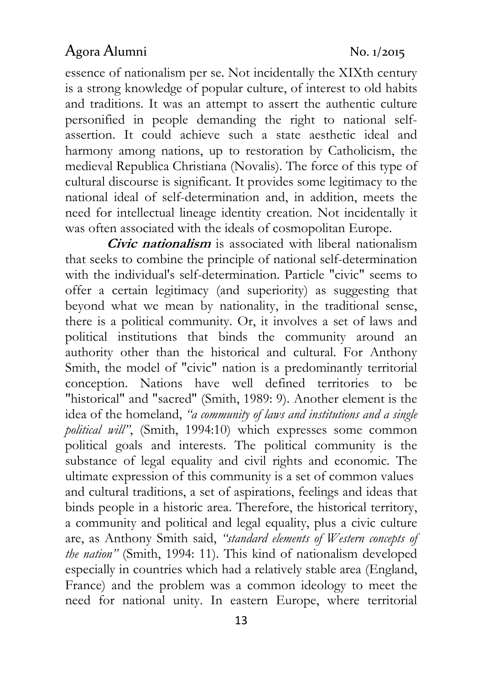essence of nationalism per se. Not incidentally the XIXth century is a strong knowledge of popular culture, of interest to old habits and traditions. It was an attempt to assert the authentic culture personified in people demanding the right to national selfassertion. It could achieve such a state aesthetic ideal and harmony among nations, up to restoration by Catholicism, the medieval Republica Christiana (Novalis). The force of this type of cultural discourse is significant. It provides some legitimacy to the national ideal of self-determination and, in addition, meets the need for intellectual lineage identity creation. Not incidentally it was often associated with the ideals of cosmopolitan Europe.

Civic nationalism is associated with liberal nationalism that seeks to combine the principle of national self-determination with the individual's self-determination. Particle "civic" seems to offer a certain legitimacy (and superiority) as suggesting that beyond what we mean by nationality, in the traditional sense, there is a political community. Or, it involves a set of laws and political institutions that binds the community around an authority other than the historical and cultural. For Anthony Smith, the model of "civic" nation is a predominantly territorial conception. Nations have well defined territories to be "historical" and "sacred" (Smith, 1989: 9). Another element is the idea of the homeland, "a community of laws and institutions and a single political will", (Smith, 1994:10) which expresses some common political goals and interests. The political community is the substance of legal equality and civil rights and economic. The ultimate expression of this community is a set of common values and cultural traditions, a set of aspirations, feelings and ideas that binds people in a historic area. Therefore, the historical territory, a community and political and legal equality, plus a civic culture are, as Anthony Smith said, "standard elements of Western concepts of the nation" (Smith, 1994: 11). This kind of nationalism developed especially in countries which had a relatively stable area (England, France) and the problem was a common ideology to meet the need for national unity. In eastern Europe, where territorial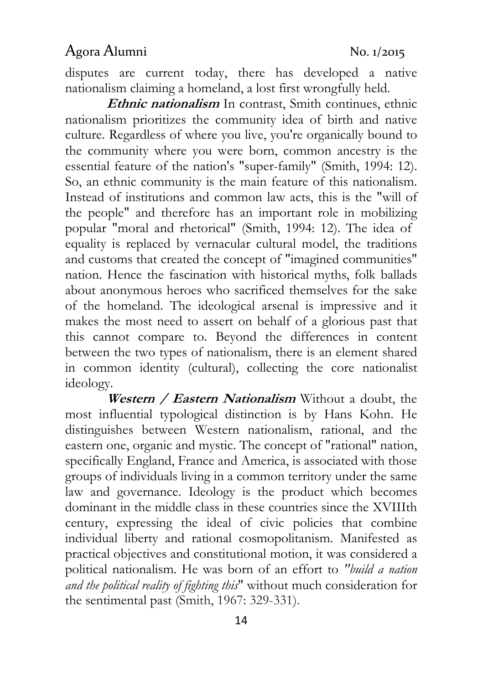disputes are current today, there has developed a native nationalism claiming a homeland, a lost first wrongfully held.

Ethnic nationalism In contrast, Smith continues, ethnic nationalism prioritizes the community idea of birth and native culture. Regardless of where you live, you're organically bound to the community where you were born, common ancestry is the essential feature of the nation's "super-family" (Smith, 1994: 12). So, an ethnic community is the main feature of this nationalism. Instead of institutions and common law acts, this is the "will of the people" and therefore has an important role in mobilizing popular "moral and rhetorical" (Smith, 1994: 12). The idea of equality is replaced by vernacular cultural model, the traditions and customs that created the concept of "imagined communities" nation. Hence the fascination with historical myths, folk ballads about anonymous heroes who sacrificed themselves for the sake of the homeland. The ideological arsenal is impressive and it makes the most need to assert on behalf of a glorious past that this cannot compare to. Beyond the differences in content between the two types of nationalism, there is an element shared in common identity (cultural), collecting the core nationalist ideology.

Western / Eastern Nationalism Without a doubt, the most influential typological distinction is by Hans Kohn. He distinguishes between Western nationalism, rational, and the eastern one, organic and mystic. The concept of "rational" nation, specifically England, France and America, is associated with those groups of individuals living in a common territory under the same law and governance. Ideology is the product which becomes dominant in the middle class in these countries since the XVIIIth century, expressing the ideal of civic policies that combine individual liberty and rational cosmopolitanism. Manifested as practical objectives and constitutional motion, it was considered a political nationalism. He was born of an effort to "build a nation and the political reality of fighting this" without much consideration for the sentimental past (Smith, 1967: 329-331).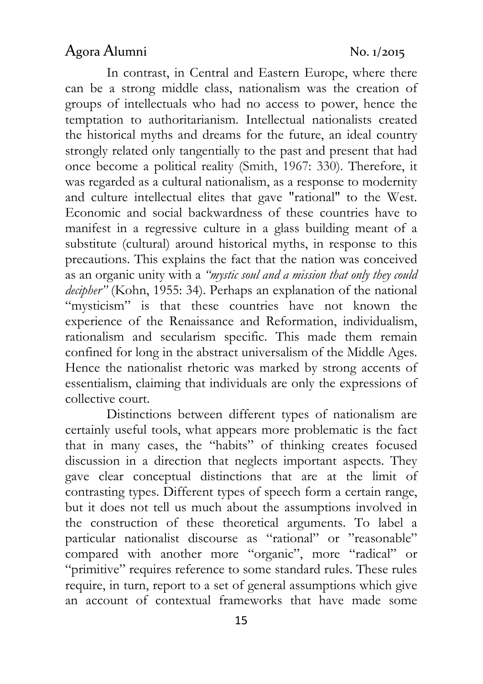In contrast, in Central and Eastern Europe, where there can be a strong middle class, nationalism was the creation of groups of intellectuals who had no access to power, hence the temptation to authoritarianism. Intellectual nationalists created the historical myths and dreams for the future, an ideal country strongly related only tangentially to the past and present that had once become a political reality (Smith, 1967: 330). Therefore, it was regarded as a cultural nationalism, as a response to modernity and culture intellectual elites that gave "rational" to the West. Economic and social backwardness of these countries have to manifest in a regressive culture in a glass building meant of a substitute (cultural) around historical myths, in response to this precautions. This explains the fact that the nation was conceived as an organic unity with a "mystic soul and a mission that only they could decipher" (Kohn, 1955: 34). Perhaps an explanation of the national "mysticism" is that these countries have not known the experience of the Renaissance and Reformation, individualism, rationalism and secularism specific. This made them remain confined for long in the abstract universalism of the Middle Ages. Hence the nationalist rhetoric was marked by strong accents of essentialism, claiming that individuals are only the expressions of collective court.

Distinctions between different types of nationalism are certainly useful tools, what appears more problematic is the fact that in many cases, the "habits" of thinking creates focused discussion in a direction that neglects important aspects. They gave clear conceptual distinctions that are at the limit of contrasting types. Different types of speech form a certain range, but it does not tell us much about the assumptions involved in the construction of these theoretical arguments. To label a particular nationalist discourse as "rational" or "reasonable" compared with another more "organic", more "radical" or "primitive" requires reference to some standard rules. These rules require, in turn, report to a set of general assumptions which give an account of contextual frameworks that have made some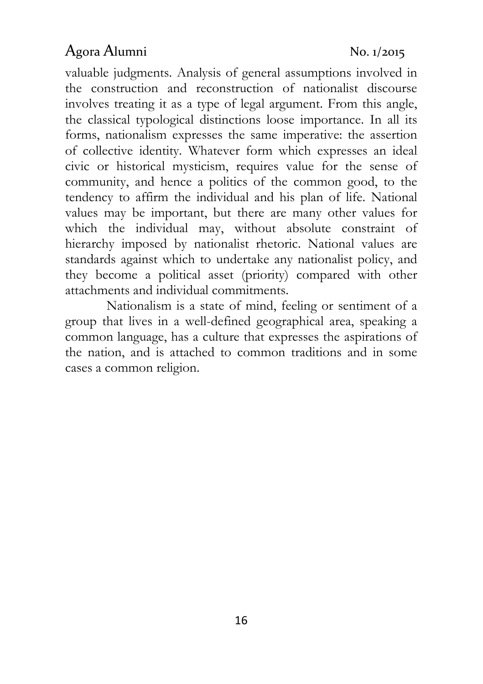valuable judgments. Analysis of general assumptions involved in the construction and reconstruction of nationalist discourse involves treating it as a type of legal argument. From this angle, the classical typological distinctions loose importance. In all its forms, nationalism expresses the same imperative: the assertion of collective identity. Whatever form which expresses an ideal civic or historical mysticism, requires value for the sense of community, and hence a politics of the common good, to the tendency to affirm the individual and his plan of life. National values may be important, but there are many other values for which the individual may, without absolute constraint of hierarchy imposed by nationalist rhetoric. National values are standards against which to undertake any nationalist policy, and they become a political asset (priority) compared with other attachments and individual commitments.

Nationalism is a state of mind, feeling or sentiment of a group that lives in a well-defined geographical area, speaking a common language, has a culture that expresses the aspirations of the nation, and is attached to common traditions and in some cases a common religion.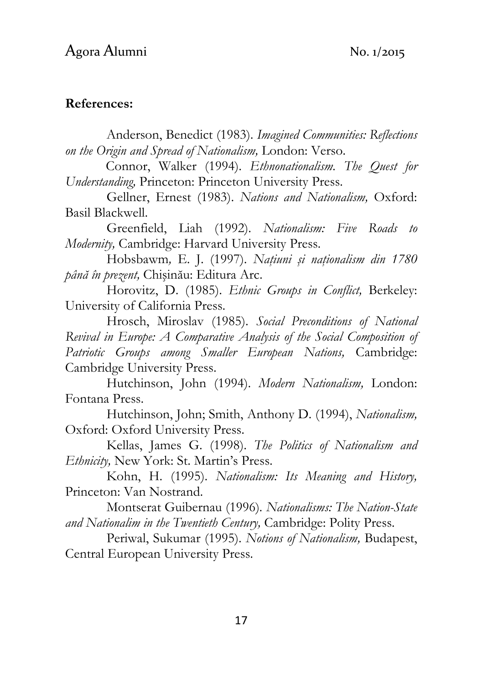#### References:

Anderson, Benedict (1983). Imagined Communities: Reflections on the Origin and Spread of Nationalism, London: Verso.

Connor, Walker (1994). Ethnonationalism. The Quest for Understanding, Princeton: Princeton University Press.

Gellner, Ernest (1983). Nations and Nationalism, Oxford: Basil Blackwell.

Greenfield, Liah (1992). Nationalism: Five Roads to Modernity, Cambridge: Harvard University Press.

Hobsbawm, E. J. (1997). Națiuni și naționalism din 1780 până în prezent, Chişinău: Editura Arc.

Horovitz, D. (1985). Ethnic Groups in Conflict, Berkeley: University of California Press.

Hrosch, Miroslav (1985). Social Preconditions of National Revival in Europe: A Comparative Analysis of the Social Composition of Patriotic Groups among Smaller European Nations, Cambridge: Cambridge University Press.

Hutchinson, John (1994). Modern Nationalism, London: Fontana Press.

Hutchinson, John; Smith, Anthony D. (1994), Nationalism, Oxford: Oxford University Press.

Kellas, James G. (1998). The Politics of Nationalism and Ethnicity, New York: St. Martin's Press.

Kohn, H. (1995). Nationalism: Its Meaning and History, Princeton: Van Nostrand.

Montserat Guibernau (1996). Nationalisms: The Nation-State and Nationalim in the Twentieth Century, Cambridge: Polity Press.

Periwal, Sukumar (1995). Notions of Nationalism, Budapest, Central European University Press.